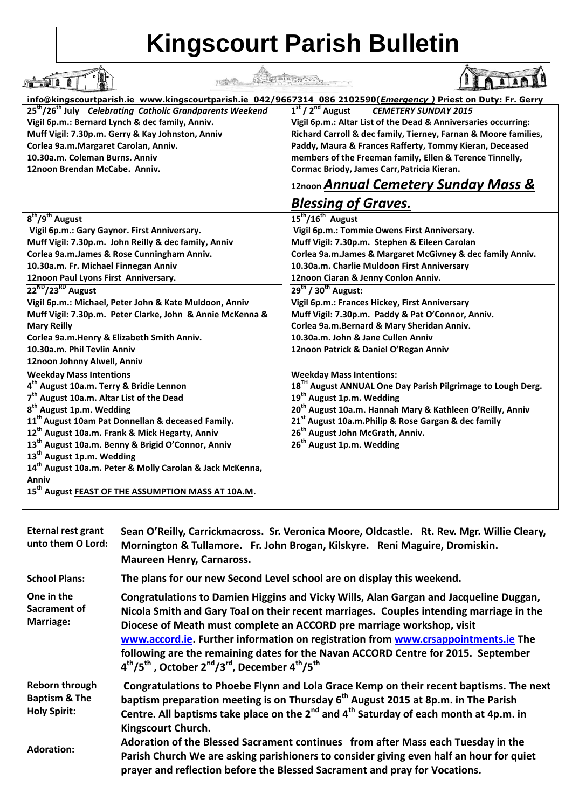## **Kingscourt Parish Bulletin**

|                                                                                                               | Thinks like the first r                                                 |  |
|---------------------------------------------------------------------------------------------------------------|-------------------------------------------------------------------------|--|
| info@kingscourtparish.ie www.kingscourtparish.ie 042/9667314 086 2102590(Emergency) Priest on Duty: Fr. Gerry |                                                                         |  |
| 25 <sup>th</sup> /26 <sup>th</sup> July <i>Celebrating Catholic Grandparents Weekend</i>                      | $1st / 2nd$ August<br><b>CEMETERY SUNDAY 2015</b>                       |  |
| Vigil 6p.m.: Bernard Lynch & dec family, Anniv.                                                               | Vigil 6p.m.: Altar List of the Dead & Anniversaries occurring:          |  |
| Muff Vigil: 7.30p.m. Gerry & Kay Johnston, Anniv                                                              | Richard Carroll & dec family, Tierney, Farnan & Moore families,         |  |
| Corlea 9a.m.Margaret Carolan, Anniv.                                                                          | Paddy, Maura & Frances Rafferty, Tommy Kieran, Deceased                 |  |
| 10.30a.m. Coleman Burns. Anniv                                                                                | members of the Freeman family, Ellen & Terence Tinnelly,                |  |
| 12noon Brendan McCabe. Anniv.                                                                                 | Cormac Briody, James Carr, Patricia Kieran.                             |  |
|                                                                                                               | 12noon Annual Cemetery Sunday Mass &                                    |  |
|                                                                                                               | <b>Blessing of Graves.</b>                                              |  |
| 8 <sup>th</sup> /9 <sup>th</sup> August                                                                       | $15^{\text{th}}/16^{\text{th}}$ August                                  |  |
| Vigil 6p.m.: Gary Gaynor. First Anniversary.                                                                  | Vigil 6p.m.: Tommie Owens First Anniversary.                            |  |
| Muff Vigil: 7.30p.m. John Reilly & dec family, Anniv                                                          | Muff Vigil: 7.30p.m. Stephen & Eileen Carolan                           |  |
| Corlea 9a.m.James & Rose Cunningham Anniv.                                                                    | Corlea 9a.m.James & Margaret McGivney & dec family Anniv.               |  |
| 10.30a.m. Fr. Michael Finnegan Anniv                                                                          | 10.30a.m. Charlie Muldoon First Anniversary                             |  |
| 12noon Paul Lyons First Anniversary.                                                                          | 12noon Ciaran & Jenny Conlon Anniv.                                     |  |
| 22 <sup>ND</sup> /23 <sup>RD</sup> August                                                                     | $29^{th}$ / 30 <sup>th</sup> August:                                    |  |
| Vigil 6p.m.: Michael, Peter John & Kate Muldoon, Anniv                                                        | Vigil 6p.m.: Frances Hickey, First Anniversary                          |  |
| Muff Vigil: 7.30p.m. Peter Clarke, John & Annie McKenna &                                                     | Muff Vigil: 7.30p.m. Paddy & Pat O'Connor, Anniv.                       |  |
| <b>Mary Reilly</b>                                                                                            | Corlea 9a.m.Bernard & Mary Sheridan Anniv.                              |  |
| Corlea 9a.m. Henry & Elizabeth Smith Anniv.                                                                   | 10.30a.m. John & Jane Cullen Anniv                                      |  |
| 10.30a.m. Phil Tevlin Anniv                                                                                   | 12noon Patrick & Daniel O'Regan Anniv                                   |  |
| 12noon Johnny Alwell, Anniv                                                                                   |                                                                         |  |
| <b>Weekday Mass Intentions</b>                                                                                | <b>Weekday Mass Intentions:</b>                                         |  |
| 4 <sup>th</sup> August 10a.m. Terry & Bridie Lennon                                                           | 18 <sup>TH</sup> August ANNUAL One Day Parish Pilgrimage to Lough Derg. |  |
| 7 <sup>th</sup> August 10a.m. Altar List of the Dead                                                          | 19 <sup>th</sup> August 1p.m. Wedding                                   |  |
| 8 <sup>th</sup> August 1p.m. Wedding                                                                          | 20 <sup>th</sup> August 10a.m. Hannah Mary & Kathleen O'Reilly, Anniv   |  |
| 11 <sup>th</sup> August 10am Pat Donnellan & deceased Family.                                                 | 21 <sup>st</sup> August 10a.m. Philip & Rose Gargan & dec family        |  |
| 12 <sup>th</sup> August 10a.m. Frank & Mick Hegarty, Anniv                                                    | 26 <sup>th</sup> August John McGrath, Anniv.                            |  |
| 13 <sup>th</sup> August 10a.m. Benny & Brigid O'Connor, Anniv                                                 | 26 <sup>th</sup> August 1p.m. Wedding                                   |  |
| 13 <sup>th</sup> August 1p.m. Wedding                                                                         |                                                                         |  |
| 14 <sup>th</sup> August 10a.m. Peter & Molly Carolan & Jack McKenna,                                          |                                                                         |  |
| Anniv                                                                                                         |                                                                         |  |
| 15 <sup>th</sup> August FEAST OF THE ASSUMPTION MASS AT 10A.M.                                                |                                                                         |  |
|                                                                                                               |                                                                         |  |

| Eternal rest grant<br>unto them O Lord:                                  | Sean O'Reilly, Carrickmacross. Sr. Veronica Moore, Oldcastle. Rt. Rev. Mgr. Willie Cleary,<br>Mornington & Tullamore. Fr. John Brogan, Kilskyre. Reni Maguire, Dromiskin.<br><b>Maureen Henry, Carnaross.</b>                                                                                                                                                                                                                                                                                                                                                   |
|--------------------------------------------------------------------------|-----------------------------------------------------------------------------------------------------------------------------------------------------------------------------------------------------------------------------------------------------------------------------------------------------------------------------------------------------------------------------------------------------------------------------------------------------------------------------------------------------------------------------------------------------------------|
| <b>School Plans:</b>                                                     | The plans for our new Second Level school are on display this weekend.                                                                                                                                                                                                                                                                                                                                                                                                                                                                                          |
| One in the<br>Sacrament of<br>Marriage:                                  | Congratulations to Damien Higgins and Vicky Wills, Alan Gargan and Jacqueline Duggan,<br>Nicola Smith and Gary Toal on their recent marriages. Couples intending marriage in the<br>Diocese of Meath must complete an ACCORD pre marriage workshop, visit<br>www.accord.ie. Further information on registration from www.crsappointments.ie The<br>following are the remaining dates for the Navan ACCORD Centre for 2015. September<br>4 <sup>th</sup> /5 <sup>th</sup> , October 2 <sup>nd</sup> /3 <sup>rd</sup> , December 4 <sup>th</sup> /5 <sup>th</sup> |
| <b>Reborn through</b><br><b>Baptism &amp; The</b><br><b>Holy Spirit:</b> | Congratulations to Phoebe Flynn and Lola Grace Kemp on their recent baptisms. The next<br>baptism preparation meeting is on Thursday 6 <sup>th</sup> August 2015 at 8p.m. in The Parish<br>Centre. All baptisms take place on the 2 <sup>nd</sup> and 4 <sup>th</sup> Saturday of each month at 4p.m. in<br>Kingscourt Church.                                                                                                                                                                                                                                  |
| <b>Adoration:</b>                                                        | Adoration of the Blessed Sacrament continues from after Mass each Tuesday in the<br>Parish Church We are asking parishioners to consider giving even half an hour for quiet<br>prayer and reflection before the Blessed Sacrament and pray for Vocations.                                                                                                                                                                                                                                                                                                       |